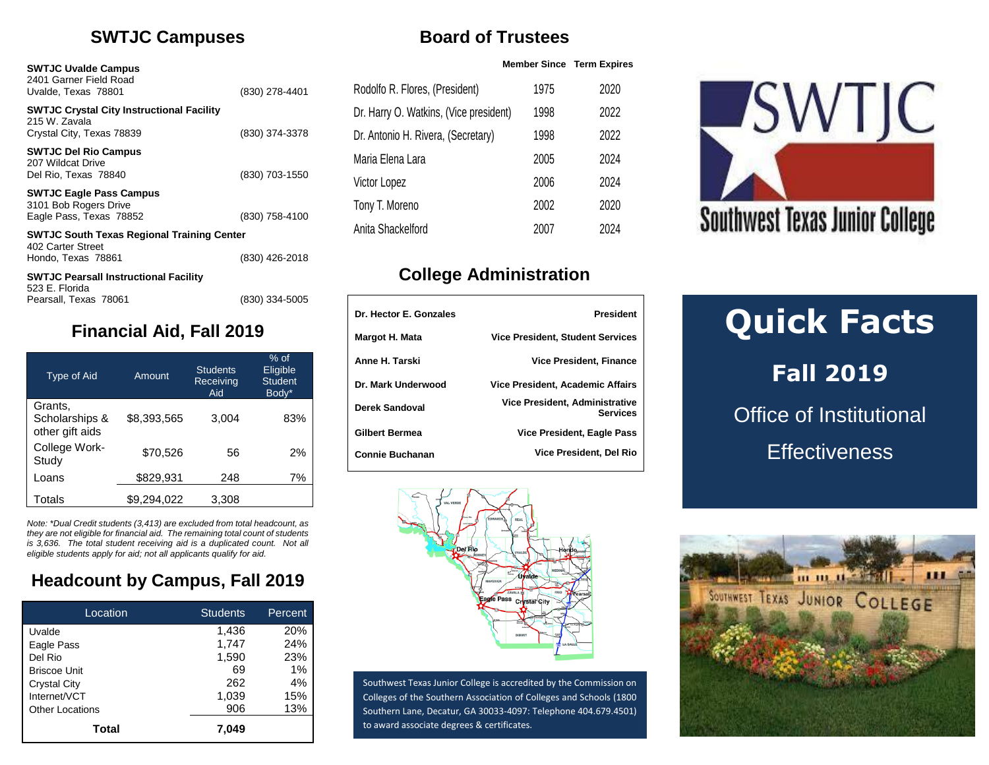#### **SWTJC Campuses**

Uvalde, Texas 78801 (830) 278-4401

Crystal City, Texas 78839 (830) 374-3378

Del Rio, Texas 78840 (830) 703-1550

Eagle Pass, Texas 78852 (830) 758-4100

Hondo, Texas 78861 (830) 426-2018

**SWTJC South Texas Regional Training Center**

**SWTJC Pearsall Instructional Facility**

**SWTJC Crystal City Instructional Facility**

**SWTJC Uvalde Campus** 2401 Garner Field Road

**SWTJC Del Rio Campus** 207 Wildcat Drive

**SWTJC Eagle Pass Campus** 3101 Bob Rogers Drive

215 W. Zavala

402 Carter Street

523 E. Florida

| <b>Board of Trustees</b> |                     |
|--------------------------|---------------------|
|                          | <b>Member Since</b> |

| Rodolfo R. Flores, (President)         | 1975 | 2020 |
|----------------------------------------|------|------|
| Dr. Harry O. Watkins, (Vice president) | 1998 | 2022 |
| Dr. Antonio H. Rivera, (Secretary)     | 1998 | 2022 |
| Maria Elena Lara                       | 2005 | 2024 |
| Victor Lopez                           | 2006 | 2024 |
| Tony T. Moreno                         | 2002 | 2020 |
| Anita Shackelford                      | 2007 | 2024 |

**Member Since Term Expires**

# **College Administration**

| Dr. Hector E. Gonzales | <b>President</b>                                         |
|------------------------|----------------------------------------------------------|
| Margot H. Mata         | <b>Vice President, Student Services</b>                  |
| Anne H. Tarski         | Vice President. Finance                                  |
| Dr. Mark Underwood     | Vice President, Academic Affairs                         |
| Derek Sandoval         | <b>Vice President, Administrative</b><br><b>Services</b> |
| <b>Gilbert Bermea</b>  | <b>Vice President, Eagle Pass</b>                        |
| <b>Connie Buchanan</b> | <b>Vice President, Del Rio</b>                           |



# **Quick Facts Fall 2019** Office of Institutional **Effectiveness**



Southwest Texas Junior College is accredited by the Commission on Colleges of the Southern Association of Colleges and Schools (1800 Southern Lane, Decatur, GA 30033-4097: Telephone 404.679.4501) to award associate degrees & certificates.



# **Financial Aid, Fall 2019**

Pearsall, Texas 78061 (830) 334-5005

| <b>Type of Aid</b>                           | Amount      | <b>Students</b><br>Receiving<br>Aid | $%$ of<br>Eligible<br><b>Student</b><br>Body* |
|----------------------------------------------|-------------|-------------------------------------|-----------------------------------------------|
| Grants,<br>Scholarships &<br>other gift aids | \$8,393,565 | 3,004                               | 83%                                           |
| College Work-<br>Study                       | \$70,526    | 56                                  | 2%                                            |
| Loans                                        | \$829,931   | 248                                 | 7%                                            |
| Totals                                       | \$9.294.022 | 3.308                               |                                               |

*Note: \*Dual Credit students (3,413) are excluded from total headcount, as they are not eligible for financial aid. The remaining total count of students is 3,636. The total student receiving aid is a duplicated count. Not all eligible students apply for aid; not all applicants qualify for aid.*

# **Headcount by Campus, Fall 2019**

| Location               | <b>Students</b> | Percent |
|------------------------|-----------------|---------|
| Uvalde                 | 1,436           | 20%     |
| Eagle Pass             | 1.747           | 24%     |
| Del Rio                | 1,590           | 23%     |
| <b>Briscoe Unit</b>    | 69              | 1%      |
| <b>Crystal City</b>    | 262             | 4%      |
| Internet/VCT           | 1,039           | 15%     |
| <b>Other Locations</b> | 906             | 13%     |
| Total                  | 7.049           |         |